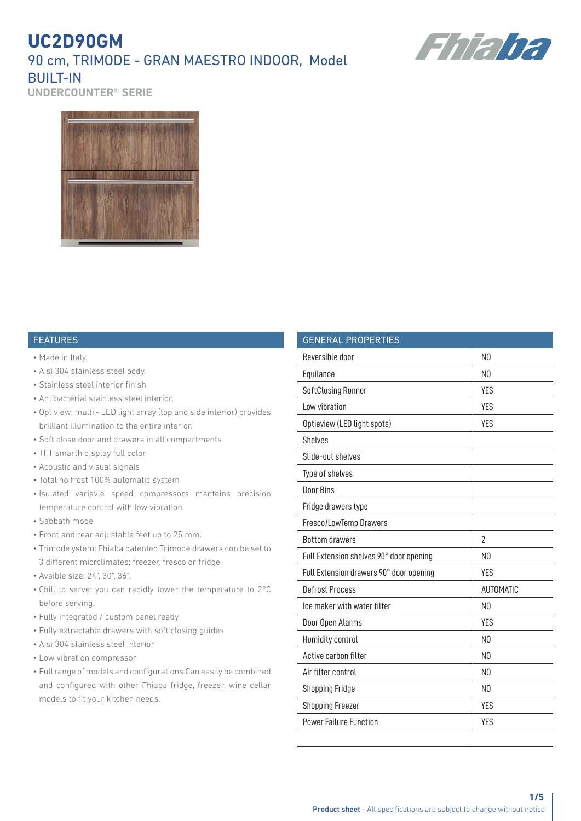## **UC2D90GM** 90 cm, TRIMODE - GRAN MAESTRO INDOOR, Model **BUILT-IN**



**UNDERCOUNTER® SERIE**



#### FEATURES

- Made in Italy.
- Aisi 304 stainless steel body.
- Stainless steel interior finish
- Antibacterial stainless steel interior.
- Optiview: multi LED light array (top and side interior) provides brilliant illumination to the entire interior.
- Soft close door and drawers in all compartments
- TFT smarth display full color
- Acoustic and visual signals
- Total no frost 100% automatic system
- Isulated variavle speed compressors manteins precision temperature control with low vibration.
- Sabbath mode
- Front and rear adjustable feet up to 25 mm.
- Trimode ystem: Fhiaba patented Trimode drawers con be set to 3 different micrclimates: freezer, fresco or fridge.
- Avaible size: 24", 30", 36".
- Chill to serve: you can rapidly lower the temperature to 2°C before serving.
- Fully integrated / custom panel ready
- Fully extractable drawers with soft closing guides
- Aisi 304 stainless steel interior
- Low vibration compressor
- Full range of models and configurations.Can easily be combined and configured with other Fhiaba fridge, freezer, wine cellar models to fit your kitchen needs.

| <b>GENERAL PROPERTIES</b>               |                  |
|-----------------------------------------|------------------|
| Reversible door                         | N <sub>0</sub>   |
| Equilance                               | N <sub>0</sub>   |
| SoftClosing Runner                      | <b>YES</b>       |
| I ow vibration                          | <b>YES</b>       |
| Optieview (LED light spots)             | <b>YES</b>       |
| <b>Shelves</b>                          |                  |
| Slide-out shelves                       |                  |
| Type of shelves                         |                  |
| Door Bins                               |                  |
| Fridge drawers type                     |                  |
| Fresco/LowTemp Drawers                  |                  |
| <b>Bottom drawers</b>                   | $\overline{2}$   |
| Full Extension shelves 90° door opening | N <sub>0</sub>   |
| Full Extension drawers 90° door opening | <b>YES</b>       |
| <b>Defrost Process</b>                  | <b>AUTOMATIC</b> |
| Ice maker with water filter             | N <sub>0</sub>   |
| Door Open Alarms                        | <b>YES</b>       |
| Humidity control                        | N <sub>0</sub>   |
| Active carbon filter                    | N <sub>0</sub>   |
| Air filter control                      | N <sub>0</sub>   |
| <b>Shopping Fridge</b>                  | N <sub>0</sub>   |
| <b>Shopping Freezer</b>                 | <b>YES</b>       |
| <b>Power Failure Function</b>           | <b>YES</b>       |
|                                         |                  |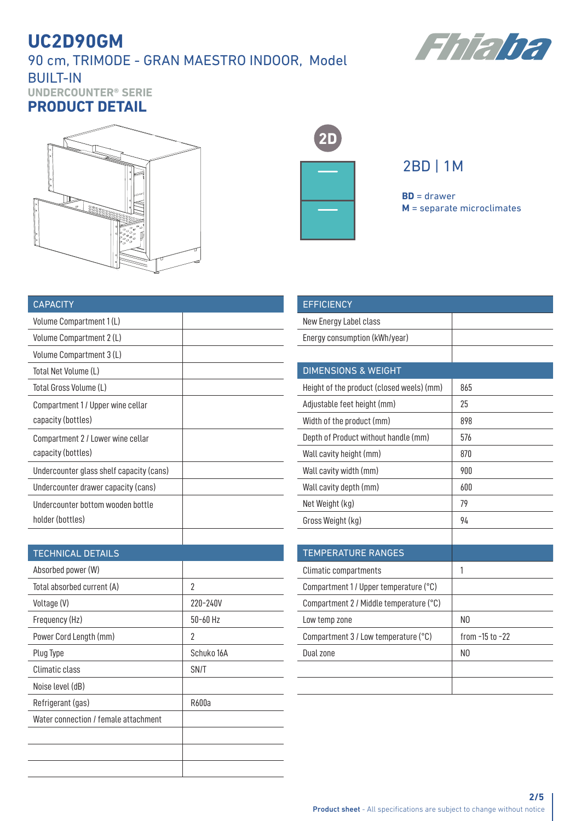### 90 cm, TRIMODE - GRAN MAESTRO INDOOR, Model BUILT-IN



**UNDERCOUNTER® SERIE PRODUCT DETAIL**





## 2BD | 1M

**BD** = drawer **M** = separate microclimates

| <b>CAPACITY</b>                          |  |
|------------------------------------------|--|
| Volume Compartment 1 (L)                 |  |
| Volume Compartment 2 (L)                 |  |
| Volume Compartment 3 (L)                 |  |
| Total Net Volume (L)                     |  |
| Total Gross Volume (L)                   |  |
| Compartment 1/Upper wine cellar          |  |
| capacity (bottles)                       |  |
| Compartment 2 / Lower wine cellar        |  |
| capacity (bottles)                       |  |
| Undercounter glass shelf capacity (cans) |  |
| Undercounter drawer capacity (cans)      |  |
| Undercounter bottom wooden bottle        |  |
| holder (bottles)                         |  |
|                                          |  |

#### TECHNICAL DETAILS

| Absorbed power (W)                   |            |
|--------------------------------------|------------|
| Total absorbed current (A)           | 2          |
| Voltage (V)                          | 220-240V   |
| Frequency (Hz)                       | $50-60$ Hz |
| Power Cord Length (mm)               | 2          |
| Plug Type                            | Schuko 16A |
| Climatic class                       | SN/T       |
| Noise level (dB)                     |            |
| Refrigerant (gas)                    | R600a      |
| Water connection / female attachment |            |
|                                      |            |
|                                      |            |
|                                      |            |

| <b>EFFICIENCY</b>                         |                     |
|-------------------------------------------|---------------------|
| New Energy Label class                    |                     |
| Energy consumption (kWh/year)             |                     |
|                                           |                     |
| <b>DIMENSIONS &amp; WEIGHT</b>            |                     |
| Height of the product (closed weels) (mm) | 865                 |
| Adjustable feet height (mm)               | 25                  |
| Width of the product (mm)                 | 898                 |
| Depth of Product without handle (mm)      | 576                 |
| Wall cavity height (mm)                   | 870                 |
| Wall cavity width (mm)                    | 900                 |
| Wall cavity depth (mm)                    | 600                 |
| Net Weight (kg)                           | 79                  |
| Gross Weight (kg)                         | 94                  |
|                                           |                     |
| <b>TEMPERATURE RANGES</b>                 |                     |
| <b>Climatic compartments</b>              | 1                   |
| Compartment 1/ Upper temperature (°C)     |                     |
| Compartment 2 / Middle temperature (°C)   |                     |
| Low temp zone                             | N <sub>0</sub>      |
| Compartment 3 / Low temperature (°C)      | from $-15$ to $-22$ |
| Dual zone                                 | N <sub>0</sub>      |
|                                           |                     |
|                                           |                     |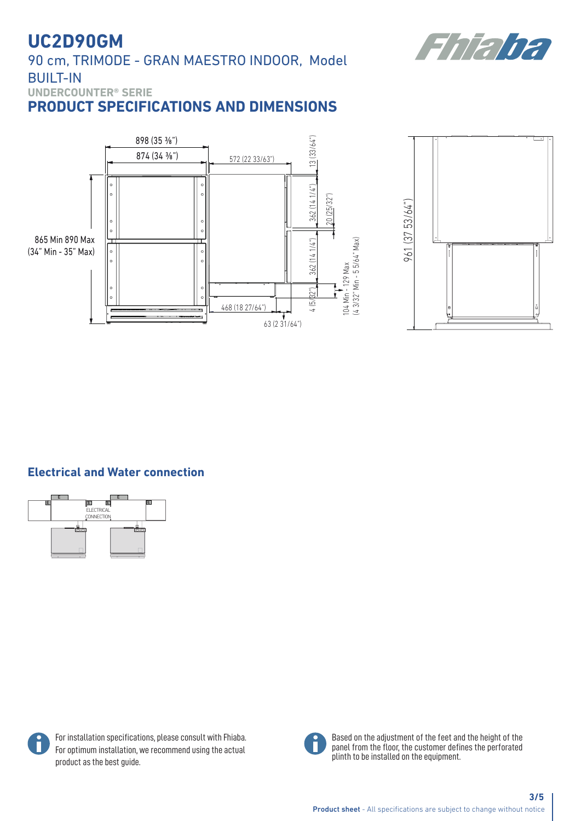Fhaha

90 cm, TRIMODE - GRAN MAESTRO INDOOR, Model BUILT-IN

**UNDERCOUNTER® SERIE**

**PRODUCT SPECIFICATIONS AND DIMENSIONS**





### **Electrical and Water connection**





For installation specifications, please consult with Fhiaba. For optimum installation, we recommend using the actual product as the best guide.



Based on the adjustment of the feet and the height of the panel from the floor, the customer defines the perforated plinth to be installed on the equipment.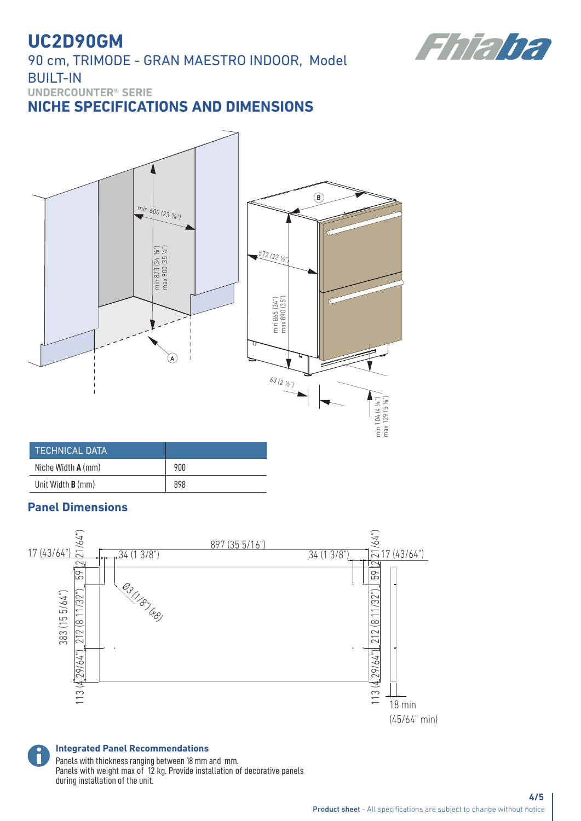90 cm, TRIMODE - GRAN MAESTRO INDOOR, Model BUILT-IN



**UNDERCOUNTER® SERIE**

### **NICHE SPECIFICATIONS AND DIMENSIONS**



| <b>TECHNICAL DATA</b>    |     |
|--------------------------|-----|
| Niche Width $A$ (mm)     | 900 |
| Unit Width <b>B</b> (mm) | 898 |

### **Panel Dimensions**



**Integrated Panel Recommendations** Panels with thickness ranging between 18 mm and mm. Panels with weight max of 12 kg. Provide installation of decorative panels during installation of the unit.